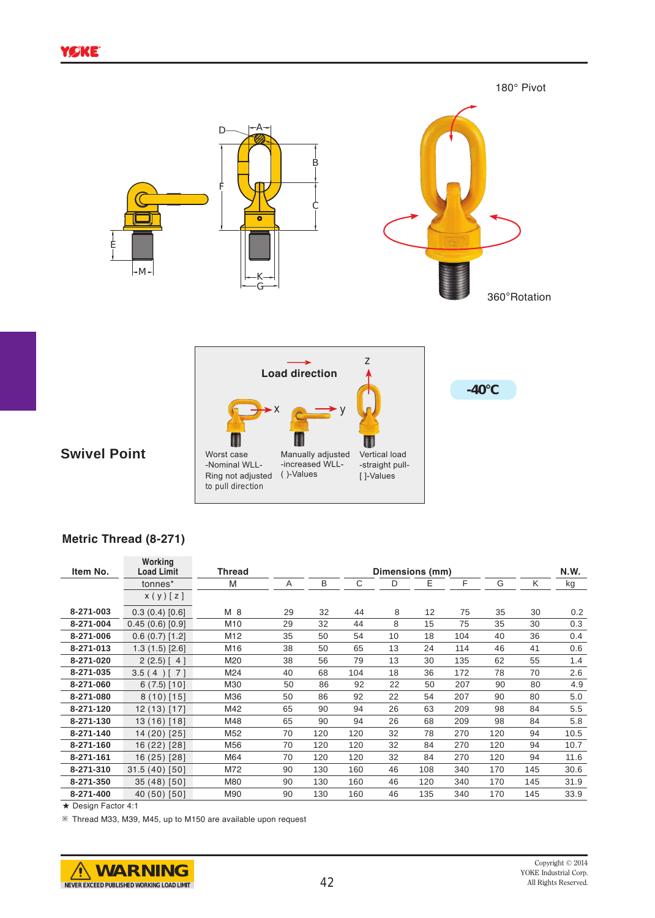

## **Swivel Point**

| ۰x                                                                    |                                                   |                                                |
|-----------------------------------------------------------------------|---------------------------------------------------|------------------------------------------------|
| Worst case<br>-Nominal WLL-<br>Ring not adjusted<br>to pull direction | Manually adjusted<br>-increased WLL-<br>()-Values | Vertical load<br>-straight pull-<br>[ ]-Values |

## **Metric Thread (8-271)**

| Item No.  | Working<br><b>Load Limit</b> | <b>Thread</b>   | Dimensions (mm) |     |     |    |     |     |     |     | N.W. |
|-----------|------------------------------|-----------------|-----------------|-----|-----|----|-----|-----|-----|-----|------|
|           | tonnes*                      | M               | Α               | B   | C   | D  | Е   | F   | G   | Κ   | kg   |
|           | x(y)[z]                      |                 |                 |     |     |    |     |     |     |     |      |
| 8-271-003 | 0.3(0.4)[0.6]                | M 8             | 29              | 32  | 44  | 8  | 12  | 75  | 35  | 30  | 0.2  |
| 8-271-004 | 0.45(0.6)[0.9]               | M <sub>10</sub> | 29              | 32  | 44  | 8  | 15  | 75  | 35  | 30  | 0.3  |
| 8-271-006 | 0.6(0.7)[1.2]                | M12             | 35              | 50  | 54  | 10 | 18  | 104 | 40  | 36  | 0.4  |
| 8-271-013 | 1.3(1.5)[2.6]                | M16             | 38              | 50  | 65  | 13 | 24  | 114 | 46  | 41  | 0.6  |
| 8-271-020 | $2(2.5)$ [ 4]                | M20             | 38              | 56  | 79  | 13 | 30  | 135 | 62  | 55  | 1.4  |
| 8-271-035 | $\binom{1}{1}$<br>3.5(4)     | M24             | 40              | 68  | 104 | 18 | 36  | 172 | 78  | 70  | 2.6  |
| 8-271-060 | $6(7.5)$ [10]                | M30             | 50              | 86  | 92  | 22 | 50  | 207 | 90  | 80  | 4.9  |
| 8-271-080 | $8(10)$ [15]                 | M36             | 50              | 86  | 92  | 22 | 54  | 207 | 90  | 80  | 5.0  |
| 8-271-120 | $12(13)$ [17]                | M42             | 65              | 90  | 94  | 26 | 63  | 209 | 98  | 84  | 5.5  |
| 8-271-130 | 13(16)[18]                   | M48             | 65              | 90  | 94  | 26 | 68  | 209 | 98  | 84  | 5.8  |
| 8-271-140 | 14 (20) [25]                 | M52             | 70              | 120 | 120 | 32 | 78  | 270 | 120 | 94  | 10.5 |
| 8-271-160 | 16 (22) [28]                 | M56             | 70              | 120 | 120 | 32 | 84  | 270 | 120 | 94  | 10.7 |
| 8-271-161 | 16 (25) [28]                 | M64             | 70              | 120 | 120 | 32 | 84  | 270 | 120 | 94  | 11.6 |
| 8-271-310 | $31.5(40)$ [50]              | M72             | 90              | 130 | 160 | 46 | 108 | 340 | 170 | 145 | 30.6 |
| 8-271-350 | 35 (48) [50]                 | M80             | 90              | 130 | 160 | 46 | 120 | 340 | 170 | 145 | 31.9 |
| 8-271-400 | 40 (50) [50]                 | M90             | 90              | 130 | 160 | 46 | 135 | 340 | 170 | 145 | 33.9 |

★ Design Factor 4:1

※ Thread M33, M39, M45, up to M150 are available upon request